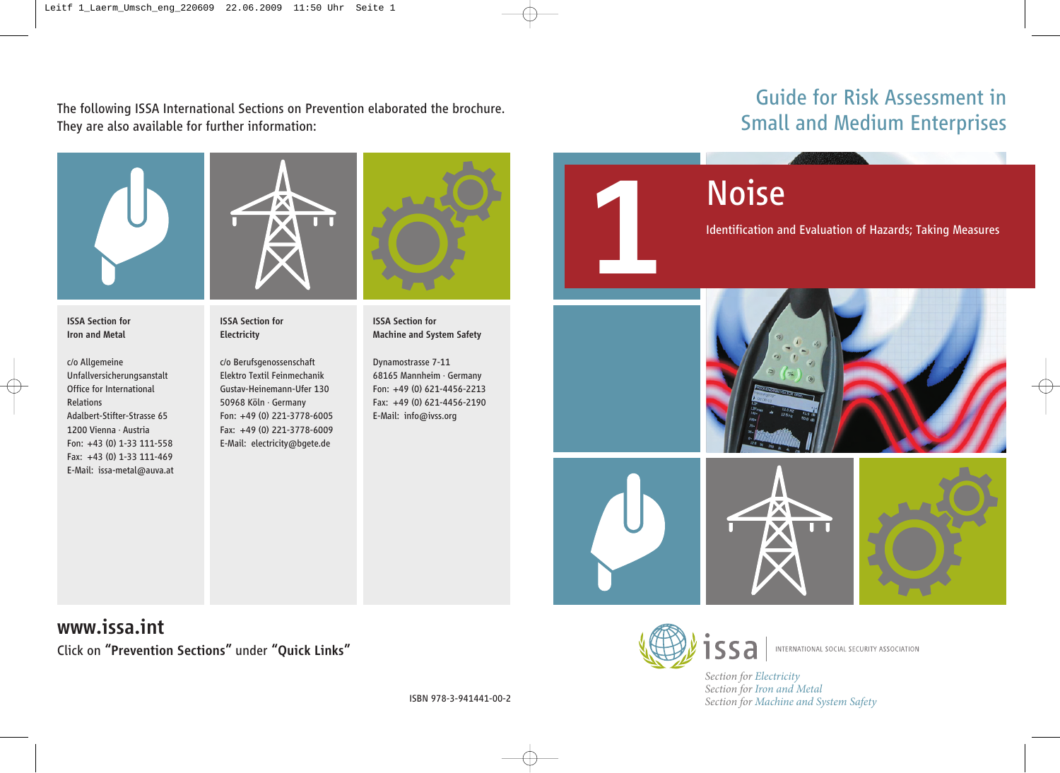The following ISSA International Sections on Prevention elaborated the brochure. They are also available for further information:

# Guide for Risk Assessment in Small and Medium Enterprises



ISSA Section for Iron and Metal

c/o Allgemeine Unfallversicherungsanstalt Office for International Relations Adalbert-Stifter-Strasse 65 1200 Vienna · Austria Fon: +43 (0) 1-33 111-558 Fax: +43 (0) 1-33 111-469 E-Mail: issa-metal@auva.at



ISSA Section for Electricity

c/o Berufsgenossenschaft Elektro Textil Feinmechanik Gustav-Heinemann-Ufer 130 50968 Köln · Germany Fon: +49 (0) 221-3778-6005 Fax: +49 (0) 221-3778-6009 E-Mail: electricity@bgete.de



ISSA Section for Machine and System Safety

Dynamostrasse 7-11 68165 Mannheim · Germany Fon: +49 (0) 621-4456-2213 Fax: +49 (0) 621-4456-2190 E-Mail: info@ivss.org



Identification and Evaluation of Hazards; Taking Measures



www.issa.int Click on "Prevention Sections" under "Quick Links"



INTERNATIONAL SOCIAL SECURITY ASSOCIATION

*Section for Electricity Section for Iron and Metal Section for Machine and System Safety*

ISBN 978-3-941441-00-2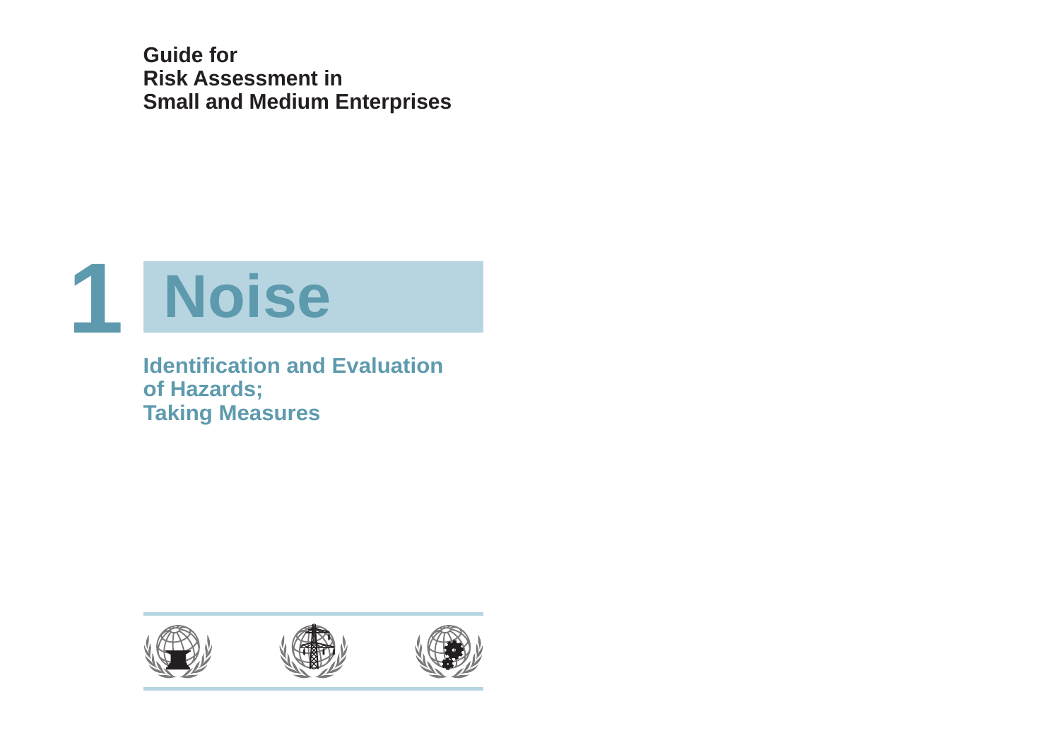**Guide for Risk Assessment in Small and Medium Enterprises**



**Identification and Evaluation of Hazards; Taking Measures**

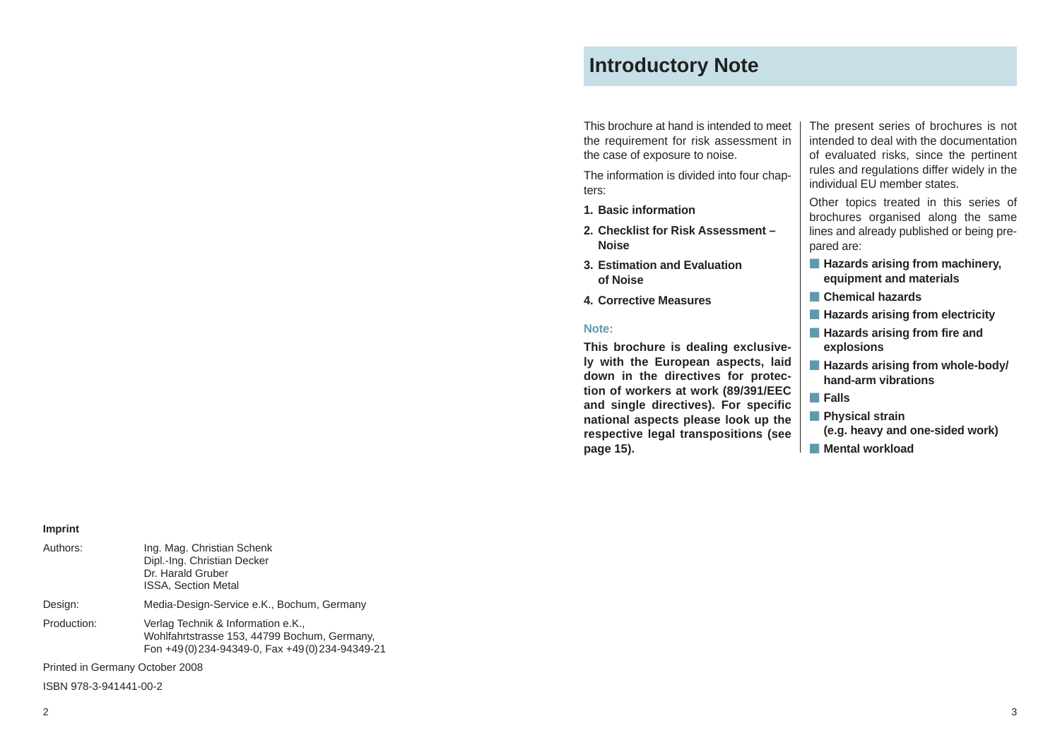# **Introductory Note**

This brochure at hand is intended to meet the requirement for risk assessment in the case of exposure to noise.

The information is divided into four chapters:

- **1. Basic information**
- **2. Checklist for Risk Assessment – Noise**
- **3. Estimation and Evaluation of Noise**
- **4. Corrective Measures**

#### **Note:**

**This brochure is dealing exclusively with the European aspects, laid down in the directives for protection of workers at work (89/391/EEC and single directives). For specific national aspects please look up the respective legal transpositions (see page 15).**

The present series of brochures is not intended to deal with the documentation of evaluated risks, since the pertinent rules and regulations differ widely in the individual EU member states.

Other topics treated in this series of brochures organised along the same lines and already published or being prepared are:

- **- Hazards arising from machinery, equipment and materials**
- **- Chemical hazards**
- **- Hazards arising from electricity**
- **- Hazards arising from fire and explosions**
- **- Hazards arising from whole-body/ hand-arm vibrations**
- **- Falls**
- **- Physical strain**
- **(e.g. heavy and one-sided work)**
- **- Mental workload**

#### **Imprint**

| Authors:                        | Ing. Mag. Christian Schenk<br>Dipl.-Ing. Christian Decker<br>Dr. Harald Gruber<br><b>ISSA, Section Metal</b>                        |
|---------------------------------|-------------------------------------------------------------------------------------------------------------------------------------|
| Design:                         | Media-Design-Service e.K., Bochum, Germany                                                                                          |
| Production:                     | Verlag Technik & Information e.K.,<br>Wohlfahrtstrasse 153, 44799 Bochum, Germany,<br>Fon +49(0)234-94349-0, Fax +49(0)234-94349-21 |
| Printed in Germany October 2008 |                                                                                                                                     |

ISBN 978-3-941441-00-2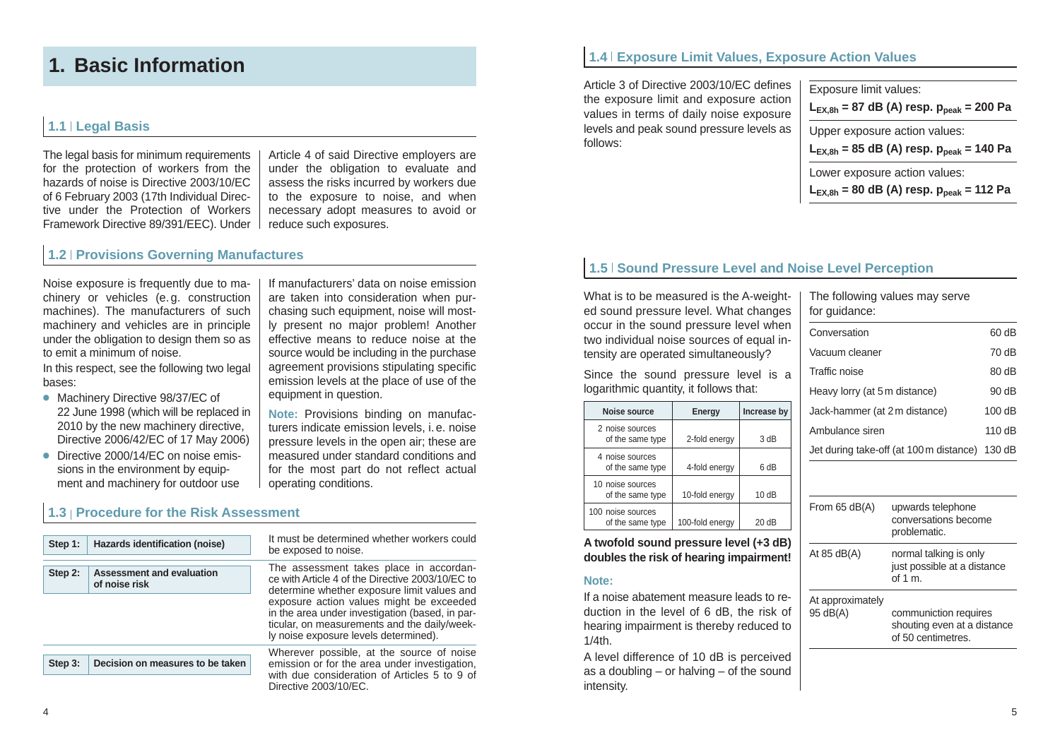# **1. Basic Information**

## **1.1 Legal Basis**

The legal basis for minimum requirements for the protection of workers from the hazards of noise is Directive 2003/10/EC of 6 February 2003 (17th Individual Directive under the Protection of Workers Framework Directive 89/391/EEC). Under

Article 4 of said Directive employers are under the obligation to evaluate and assess the risks incurred by workers due to the exposure to noise, and when necessary adopt measures to avoid or reduce such exposures.

If manufacturers' data on noise emission are taken into consideration when purchasing such equipment, noise will mostly present no major problem! Another effective means to reduce noise at the source would be including in the purchase agreement provisions stipulating specific emission levels at the place of use of the

**Note:** Provisions binding on manufacturers indicate emission levels, i. e. noise pressure levels in the open air; these are measured under standard conditions and for the most part do not reflect actual

equipment in question.

operating conditions.

### **1.2 Provisions Governing Manufactures**

Noise exposure is frequently due to machinery or vehicles (e. g. construction machines). The manufacturers of such machinery and vehicles are in principle under the obligation to design them so as to emit a minimum of noise.

In this respect, see the following two legal bases:

- **●** Machinery Directive 98/37/EC of 22 June 1998 (which will be replaced in 2010 by the new machinery directive. Directive 2006/42/EC of 17 May 2006)
- **●** Directive 2000/14/EC on noise emissions in the environment by equipment and machinery for outdoor use

## **1.3 Procedure for the Risk Assessment**

| Step 1: | Hazards identification (noise)                    | It must be determined whether workers could<br>be exposed to noise.                                                                                                                  |  |  |  |  |
|---------|---------------------------------------------------|--------------------------------------------------------------------------------------------------------------------------------------------------------------------------------------|--|--|--|--|
| Step 2: | <b>Assessment and evaluation</b><br>of noise risk | The assessment takes place in accordan-<br>ce with Article 4 of the Directive 2003/10/EC to<br>determine whether exposure limit values and                                           |  |  |  |  |
|         |                                                   | exposure action values might be exceeded<br>in the area under investigation (based, in par-<br>ticular, on measurements and the daily/week-<br>ly noise exposure levels determined). |  |  |  |  |
| Step 3: | Decision on measures to be taken                  | Wherever possible, at the source of noise<br>emission or for the area under investigation,<br>with due consideration of Articles 5 to 9 of<br>Directive 2003/10/EC.                  |  |  |  |  |

**1.4 Exposure Limit Values, Exposure Action Values**

Article 3 of Directive 2003/10/EC defines the exposure limit and exposure action values in terms of daily noise exposure levels and peak sound pressure levels as follows:

| Exposure limit values:<br>$L_{EX,8h}$ = 87 dB (A) resp. $p_{peak}$ = 200 Pa |
|-----------------------------------------------------------------------------|
| Upper exposure action values:                                               |
|                                                                             |
| $L_{EX,8h}$ = 85 dB (A) resp. $p_{peak}$ = 140 Pa                           |
| Lower exposure action values:                                               |

## **1.5 Sound Pressure Level and Noise Level Perception**

What is to be measured is the A-weighted sound pressure level. What changes occur in the sound pressure level when two individual noise sources of equal intensity are operated simultaneously?

Since the sound pressure level is a logarithmic quantity, it follows that:

| Noise source                          | Energy          | Increase by |
|---------------------------------------|-----------------|-------------|
| 2 noise sources<br>of the same type   | 2-fold energy   | 3 dB        |
| 4 noise sources<br>of the same type   | 4-fold energy   | 6 dB        |
| 10 noise sources<br>of the same type  | 10-fold energy  | 10dB        |
| 100 noise sources<br>of the same type | 100-fold energy | 20dB        |

**A twofold sound pressure level (+3 dB) doubles the risk of hearing impairment!**

#### **Note:**

If a noise abatement measure leads to reduction in the level of 6 dB, the risk of hearing impairment is thereby reduced to  $1/4$ th.

A level difference of 10 dB is perceived as a doubling – or halving – of the sound intensity.

The following values may serve for guidance:

| Conversation                                   | 60 dB    |
|------------------------------------------------|----------|
| Vacuum cleaner                                 | 70 dB    |
| Traffic noise                                  | 80dB     |
| Heavy lorry (at 5 m distance)                  | 90 dB    |
| Jack-hammer (at 2 m distance)                  | 100dB    |
| Ambulance siren                                | 110 $dB$ |
| Jet during take-off (at 100 m distance) 130 dB |          |
|                                                |          |

| From $65$ dB(A)              | upwards telephone<br>conversations become<br>problematic.                  |
|------------------------------|----------------------------------------------------------------------------|
| At $85$ dB(A)                | normal talking is only<br>just possible at a distance<br>of 1 $m$ .        |
| At approximately<br>95 dB(A) | communiction requires<br>shouting even at a distance<br>of 50 centimetres. |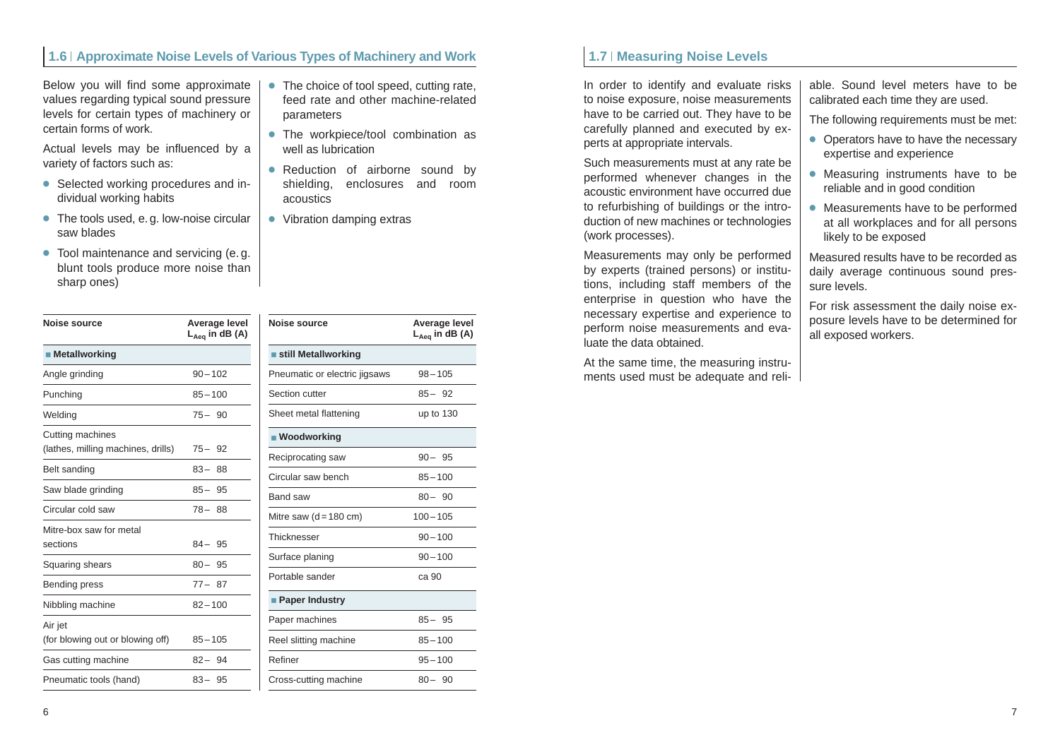## **1.6 Approximate Noise Levels of Various Types of Machinery and Work**

Below you will find some approximate values regarding typical sound pressure levels for certain types of machinery or certain forms of work.

Actual levels may be influenced by a variety of factors such as:

- **●** Selected working procedures and individual working habits
- **●** The tools used, e. g. low-noise circular saw blades
- **●** Tool maintenance and servicing (e. g. blunt tools produce more noise than sharp ones)

| Noise source                                           | Average level<br>$L_{Aeq}$ in dB (A) |
|--------------------------------------------------------|--------------------------------------|
| ■ Metallworking                                        |                                      |
| Angle grinding                                         | $90 - 102$                           |
| Punching                                               | $85 - 100$                           |
| Welding                                                | $75 - 90$                            |
| Cutting machines<br>(lathes, milling machines, drills) | $75 - 92$                            |
| Belt sanding                                           | $83 - 88$                            |
| Saw blade grinding                                     | $85 - 95$                            |
| Circular cold saw                                      | $78 - 88$                            |
| Mitre-box saw for metal<br>sections                    | $84 - 95$                            |
| Squaring shears                                        | $80 - 95$                            |
| <b>Bending press</b>                                   | $77 - 87$                            |
| Nibbling machine                                       | $82 - 100$                           |
| Air jet<br>(for blowing out or blowing off)            | $85 - 105$                           |
| Gas cutting machine                                    | $82 - 94$                            |
| Pneumatic tools (hand)                                 | $83 - 95$                            |

- **●** The choice of tool speed, cutting rate, feed rate and other machine-related parameters
- **●** The workpiece/tool combination as well as lubrication
- **●** Reduction of airborne sound by shielding, enclosures and room acoustics

**Noise source Average level**

Pneumatic or electric jigsaws 98-105 Section cutter 85 – 82 Sheet metal flattening up to 130

Reciprocating saw 90 – 95 Circular saw bench 85 – 100 Band saw 80 – 90 Mitre saw  $(d = 180 \text{ cm})$  100 – 105 Thicknesser 90-100 Surface planing 90 – 100 Portable sander ca 90

Paper machines 85 – 85 Reel slitting machine 85-100 Refiner 95-100 Cross-cutting machine 80 – 90

**LAeq in dB (A)**

**●** Vibration damping extras

**still Metallworking**

**Woodworking**

**Paper Industry**

### **1.7 | Measuring Noise Levels**

In order to identify and evaluate risks to noise exposure, noise measurements have to be carried out. They have to be carefully planned and executed by experts at appropriate intervals.

Such measurements must at any rate be performed whenever changes in the acoustic environment have occurred due to refurbishing of buildings or the introduction of new machines or technologies (work processes).

Measurements may only be performed by experts (trained persons) or institutions, including staff members of the enterprise in question who have the necessary expertise and experience to perform noise measurements and evaluate the data obtained.

At the same time, the measuring instruments used must be adequate and reliable. Sound level meters have to be calibrated each time they are used.

The following requirements must be met:

- **●** Operators have to have the necessary expertise and experience
- **●** Measuring instruments have to be reliable and in good condition
- **●** Measurements have to be performed at all workplaces and for all persons likely to be exposed

Measured results have to be recorded as daily average continuous sound pressure levels.

For risk assessment the daily noise exposure levels have to be determined for all exposed workers.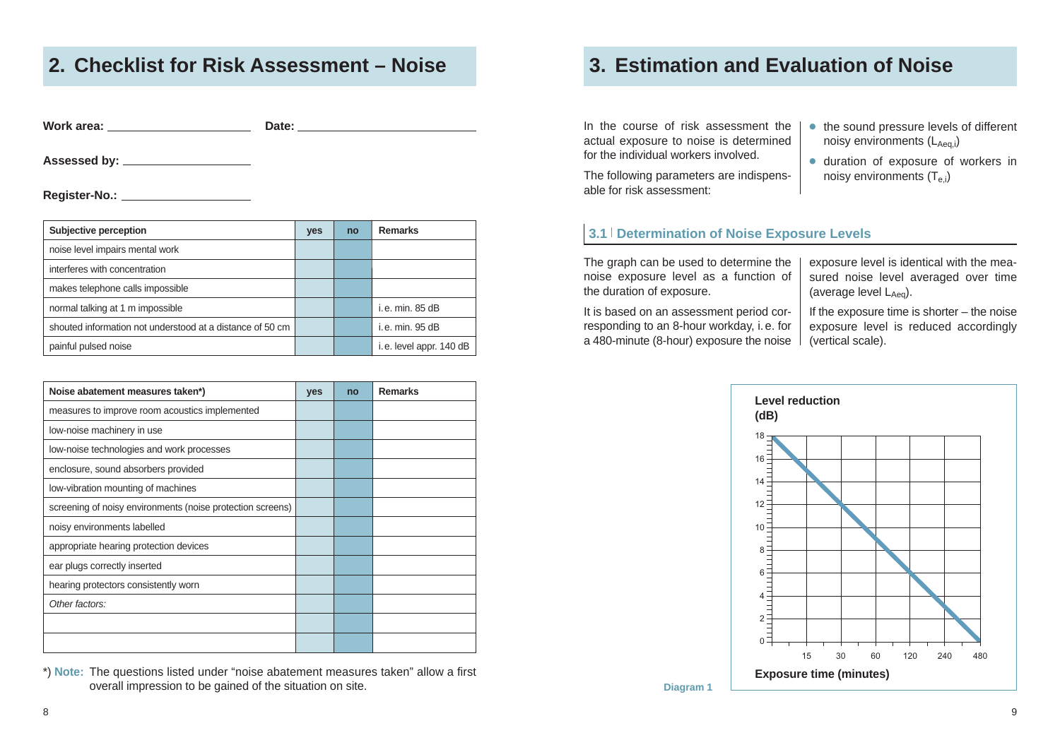# **2. Checklist for Risk Assessment – Noise 3. Estimation and Evaluation of Noise**

**Work area: Date:**

**Assessed by:**

**Register-No.:**

| Subjective perception                                     | yes | no | <b>Remarks</b>          |
|-----------------------------------------------------------|-----|----|-------------------------|
| noise level impairs mental work                           |     |    |                         |
| interferes with concentration                             |     |    |                         |
| makes telephone calls impossible                          |     |    |                         |
| normal talking at 1 m impossible                          |     |    | i.e. min. 85 dB         |
| shouted information not understood at a distance of 50 cm |     |    | i.e. min. 95 dB         |
| painful pulsed noise                                      |     |    | i.e. level appr. 140 dB |

| Noise abatement measures taken*)                           | yes | no | <b>Remarks</b> |
|------------------------------------------------------------|-----|----|----------------|
| measures to improve room acoustics implemented             |     |    |                |
| low-noise machinery in use                                 |     |    |                |
| low-noise technologies and work processes                  |     |    |                |
| enclosure, sound absorbers provided                        |     |    |                |
| low-vibration mounting of machines                         |     |    |                |
| screening of noisy environments (noise protection screens) |     |    |                |
| noisy environments labelled                                |     |    |                |
| appropriate hearing protection devices                     |     |    |                |
| ear plugs correctly inserted                               |     |    |                |
| hearing protectors consistently worn                       |     |    |                |
| Other factors:                                             |     |    |                |
|                                                            |     |    |                |
|                                                            |     |    |                |

\*) **Note:** The questions listed under "noise abatement measures taken" allow a first overall impression to be gained of the situation on site.

In the course of risk assessment the actual exposure to noise is determined for the individual workers involved.

The following parameters are indispensable for risk assessment:

- **●** the sound pressure levels of different noisy environments  $(L_{Aea,i})$
- **●** duration of exposure of workers in noisy environments  $(T_{\text{e}})$

### **3.1 Determination of Noise Exposure Levels**

The graph can be used to determine the noise exposure level as a function of the duration of exposure.

It is based on an assessment period corresponding to an 8-hour workday, i. e. for a 480-minute (8-hour) exposure the noise

exposure level is identical with the measured noise level averaged over time (average level  $L_{A_{\text{eq}}}$ ).

If the exposure time is shorter – the noise exposure level is reduced accordingly (vertical scale).



**Diagram 1**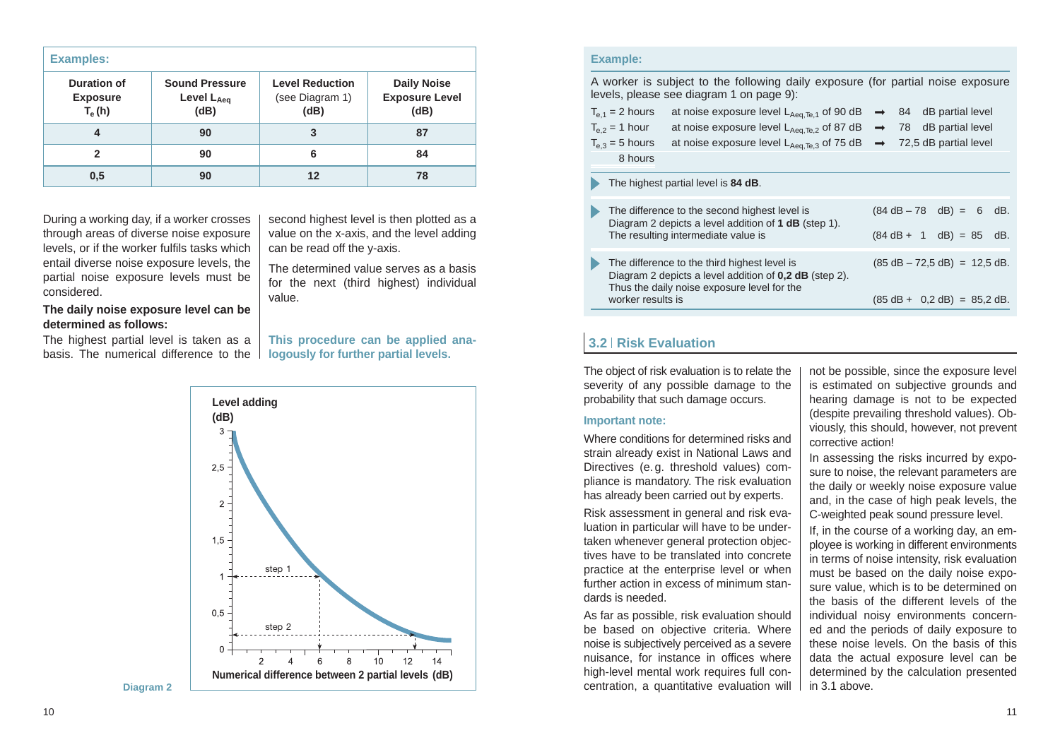| <b>Examples:</b>                           |                                             |                                                   |                                                     |  |  |  |
|--------------------------------------------|---------------------------------------------|---------------------------------------------------|-----------------------------------------------------|--|--|--|
| Duration of<br><b>Exposure</b><br>$T_e(h)$ | <b>Sound Pressure</b><br>Level LAeq<br>(dB) | <b>Level Reduction</b><br>(see Diagram 1)<br>(dB) | <b>Daily Noise</b><br><b>Exposure Level</b><br>(dB) |  |  |  |
| 4                                          | 90                                          | 3                                                 | 87                                                  |  |  |  |
| 2                                          | 90                                          | 6                                                 | 84                                                  |  |  |  |
| 0,5                                        | 90                                          | 12                                                | 78                                                  |  |  |  |

During a working day, if a worker crosses through areas of diverse noise exposure levels, or if the worker fulfils tasks which entail diverse noise exposure levels, the partial noise exposure levels must be considered.

second highest level is then plotted as a value on the x-axis, and the level adding can be read off the y-axis.

The determined value serves as a basis for the next (third highest) individual value.

**This procedure can be applied analogously for further partial levels.**

#### **The daily noise exposure level can be determined as follows:**

The highest partial level is taken as a basis. The numerical difference to the

> **Level adding (dB)**  $3 2,5 2 1.5$ step 1  $0.5$ step 2  $\sqrt{ }$  $6\overline{6}$  $10$  $12$  $\mathcal{P}$  $\overline{A}$ 8  $14$ **Numerical difference between 2 partial levels (dB)**

**Diagram 2**

#### **Example:**

A worker is subject to the following daily exposure (for partial noise exposure levels, please see diagram 1 on page 9):

|   | $T_{\rm e,1}$ = 2 hours<br>$T_{\rm e}$ <sub>2</sub> = 1 hour<br>$T_{\text{e}3}$ = 5 hours<br>8 hours |                                              | at noise exposure level $L_{Aea,Te,1}$ of 90 dB $\rightarrow$ 84 dB partial level<br>at noise exposure level $L_{Aeq,Te,2}$ of 87 dB $\rightarrow$ 78 dB partial level<br>at noise exposure level $L_{Aeq,Te,3}$ of 75 dB $\rightarrow$ 72,5 dB partial level |  |  |                                                     |     |
|---|------------------------------------------------------------------------------------------------------|----------------------------------------------|---------------------------------------------------------------------------------------------------------------------------------------------------------------------------------------------------------------------------------------------------------------|--|--|-----------------------------------------------------|-----|
|   |                                                                                                      | The highest partial level is 84 dB.          |                                                                                                                                                                                                                                                               |  |  |                                                     |     |
| Þ |                                                                                                      | The resulting intermediate value is          | The difference to the second highest level is<br>Diagram 2 depicts a level addition of 1 dB (step 1).                                                                                                                                                         |  |  | $(84 dB - 78 dB) = 6$<br>$(84 dB + 1 dB) = 85 dB$ . | dB. |
|   |                                                                                                      | The difference to the third highest level is | Diagram 2 depicts a level addition of <b>0,2 dB</b> (step 2).                                                                                                                                                                                                 |  |  | $(85 dB - 72.5 dB) = 12.5 dB$ .                     |     |

### **3.2 Risk Evaluation**

The object of risk evaluation is to relate the severity of any possible damage to the probability that such damage occurs.

Thus the daily noise exposure level for the worker results is

#### **Important note:**

Where conditions for determined risks and strain already exist in National Laws and Directives (e. g. threshold values) compliance is mandatory. The risk evaluation has already been carried out by experts.

Risk assessment in general and risk evaluation in particular will have to be undertaken whenever general protection objectives have to be translated into concrete practice at the enterprise level or when further action in excess of minimum standards is needed.

As far as possible, risk evaluation should be based on objective criteria. Where noise is subjectively perceived as a severe nuisance, for instance in offices where high-level mental work requires full concentration, a quantitative evaluation will not be possible, since the exposure level is estimated on subjective grounds and hearing damage is not to be expected (despite prevailing threshold values). Obviously, this should, however, not prevent corrective action!

 $(85 \text{ dB} + 0.2 \text{ dB}) = 85.2 \text{ dB}$ 

In assessing the risks incurred by exposure to noise, the relevant parameters are the daily or weekly noise exposure value and, in the case of high peak levels, the C-weighted peak sound pressure level.

If, in the course of a working day, an employee is working in different environments in terms of noise intensity, risk evaluation must be based on the daily noise exposure value, which is to be determined on the basis of the different levels of the individual noisy environments concerned and the periods of daily exposure to these noise levels. On the basis of this data the actual exposure level can be determined by the calculation presented in 3.1 above.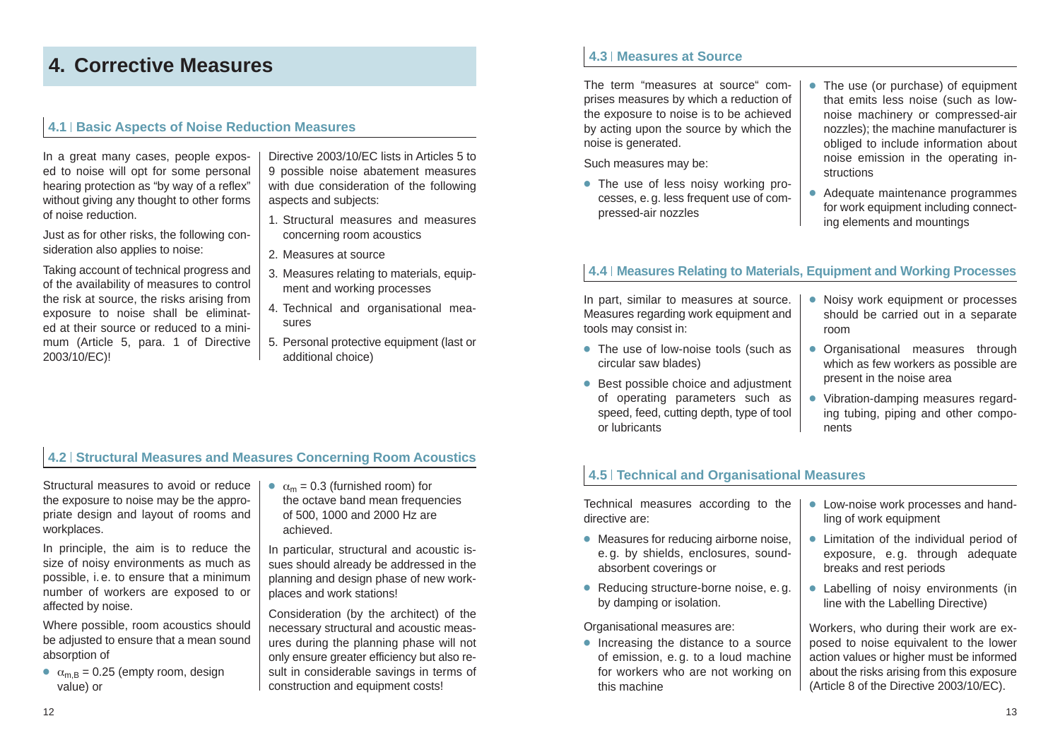# **4. Corrective Measures**

### **4.1 Basic Aspects of Noise Reduction Measures**

In a great many cases, people exposed to noise will opt for some personal hearing protection as "by way of a reflex" without giving any thought to other forms of noise reduction.

Just as for other risks, the following consideration also applies to noise:

Taking account of technical progress and of the availability of measures to control the risk at source, the risks arising from exposure to noise shall be eliminated at their source or reduced to a minimum (Article 5, para. 1 of Directive 2003/10/EC)!

Directive 2003/10/EC lists in Articles 5 to 9 possible noise abatement measures with due consideration of the following aspects and subjects:

- 1. Structural measures and measures concerning room acoustics
- 2. Measures at source
- 3. Measures relating to materials, equipment and working processes
- 4. Technical and organisational measures
- 5. Personal protective equipment (last or additional choice)

## **4.2 Structural Measures and Measures Concerning Room Acoustics**

Structural measures to avoid or reduce the exposure to noise may be the appropriate design and layout of rooms and workplaces.

In principle, the aim is to reduce the size of noisy environments as much as possible, i. e. to ensure that a minimum number of workers are exposed to or affected by noise.

Where possible, room acoustics should be adjusted to ensure that a mean sound absorption of

 $\alpha_{\text{mB}} = 0.25$  (empty room, design value) or

 $\alpha_m = 0.3$  (furnished room) for the octave band mean frequencies

of 500, 1000 and 2000 Hz are achieved.

In particular, structural and acoustic issues should already be addressed in the planning and design phase of new workplaces and work stations!

Consideration (by the architect) of the necessary structural and acoustic measures during the planning phase will not only ensure greater efficiency but also result in considerable savings in terms of construction and equipment costs!

## **4.3 Measures at Source**

The term "measures at source" comprises measures by which a reduction of the exposure to noise is to be achieved by acting upon the source by which the noise is generated.

Such measures may be:

- **●** The use of less noisy working processes, e. g. less frequent use of compressed-air nozzles
- **●** The use (or purchase) of equipment that emits less noise (such as lownoise machinery or compressed-air nozzles); the machine manufacturer is obliged to include information about noise emission in the operating instructions
- **●** Adequate maintenance programmes for work equipment including connecting elements and mountings

## **4.4 Measures Relating to Materials, Equipment and Working Processes**

In part, similar to measures at source. Measures regarding work equipment and tools may consist in:

- **●** The use of low-noise tools (such as circular saw blades)
- **●** Best possible choice and adjustment of operating parameters such as speed, feed, cutting depth, type of tool or lubricants
- **●** Noisy work equipment or processes should be carried out in a separate room
- **●** Organisational measures through which as few workers as possible are present in the noise area
- **●** Vibration-damping measures regarding tubing, piping and other components

## **4.5 Technical and Organisational Measures**

Technical measures according to the directive are:

- **●** Measures for reducing airborne noise, e. g. by shields, enclosures, soundabsorbent coverings or
- **●** Reducing structure-borne noise, e. g. by damping or isolation.

#### Organisational measures are:

**●** Increasing the distance to a source of emission, e. g. to a loud machine for workers who are not working on this machine

- **●** Low-noise work processes and handling of work equipment
- **●** Limitation of the individual period of exposure, e. g. through adequate breaks and rest periods
- **●** Labelling of noisy environments (in line with the Labelling Directive)

Workers, who during their work are exposed to noise equivalent to the lower action values or higher must be informed about the risks arising from this exposure (Article 8 of the Directive 2003/10/EC).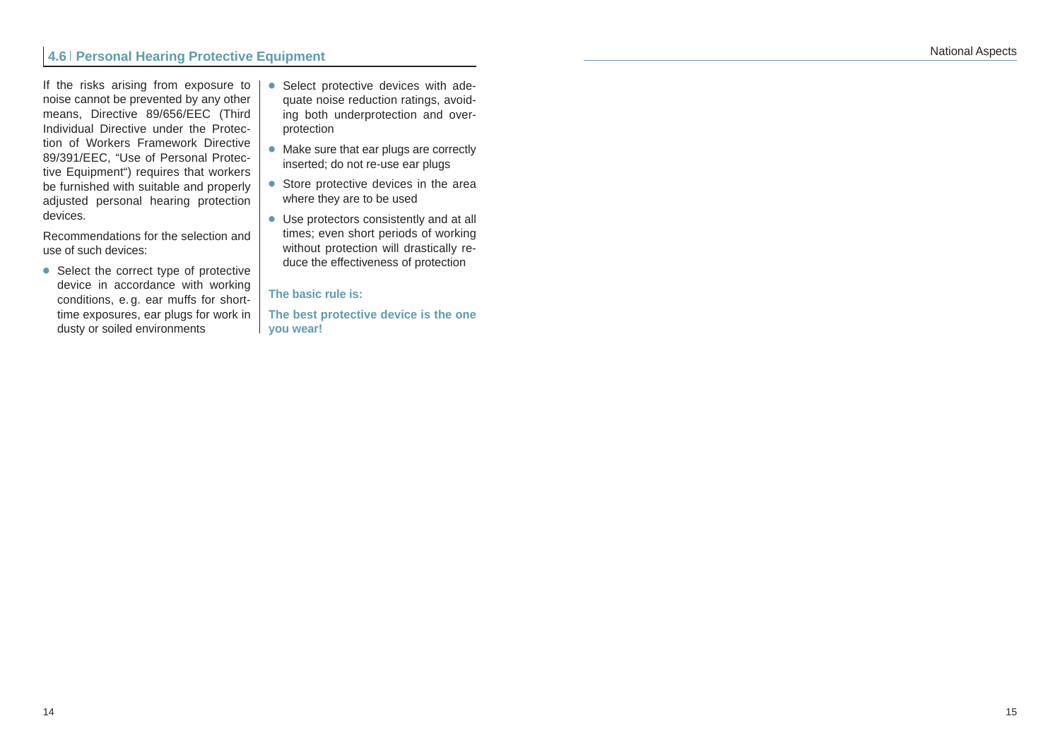If the risks arising from exposure to noise cannot be prevented by any other means, Directive 89/656/EEC (Third Individual Directive under the Protection of Workers Framework Directive 89/391/EEC, "Use of Personal Protective Equipment") requires that workers be furnished with suitable and properly adjusted personal hearing protection devices.

Recommendations for the selection and use of such devices:

● Select the correct type of protective device in accordance with working conditions, e. g. ear muffs for shorttime exposures, ear plugs for work in dusty or soiled environments

- **●** Select protective devices with adequate noise reduction ratings, avoiding both underprotection and overprotection
- **●** Make sure that ear plugs are correctly inserted; do not re-use ear plugs
- **●** Store protective devices in the area where they are to be used
- **●** Use protectors consistently and at all times; even short periods of working without protection will drastically reduce the effectiveness of protection

#### **The basic rule is:**

**The best protective device is the one you wear!**